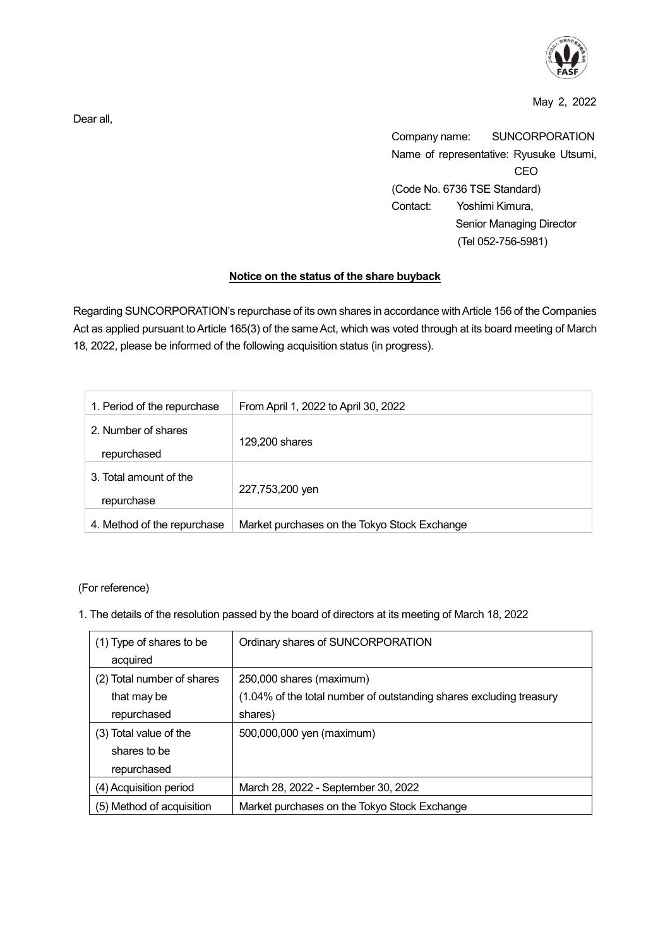

May 2, 2022

Company name: SUNCORPORATION Name of representative: Ryusuke Utsumi, CEO (Code No. 6736 TSE Standard) Contact: Yoshimi Kimura, Senior Managing Director (Tel 052-756-5981)

## **Notice on the status of the share buyback**

Regarding SUNCORPORATION's repurchase of its own shares in accordance with Article 156 of the Companies Act as applied pursuant to Article 165(3) of the same Act, which was voted through at its board meeting of March 18, 2022, please be informed of the following acquisition status (in progress).

| 1. Period of the repurchase          | From April 1, 2022 to April 30, 2022         |
|--------------------------------------|----------------------------------------------|
| 2. Number of shares<br>repurchased   | 129,200 shares                               |
| 3. Total amount of the<br>repurchase | 227,753,200 yen                              |
| 4. Method of the repurchase          | Market purchases on the Tokyo Stock Exchange |

(For reference)

1. The details of the resolution passed by the board of directors at its meeting of March 18, 2022

| (1) Type of shares to be   | Ordinary shares of SUNCORPORATION                                   |
|----------------------------|---------------------------------------------------------------------|
| acquired                   |                                                                     |
| (2) Total number of shares | 250,000 shares (maximum)                                            |
| that may be                | (1.04% of the total number of outstanding shares excluding treasury |
| repurchased                | shares)                                                             |
| (3) Total value of the     | 500,000,000 yen (maximum)                                           |
| shares to be               |                                                                     |
| repurchased                |                                                                     |
| (4) Acquisition period     | March 28, 2022 - September 30, 2022                                 |
| (5) Method of acquisition  | Market purchases on the Tokyo Stock Exchange                        |

Dear all,